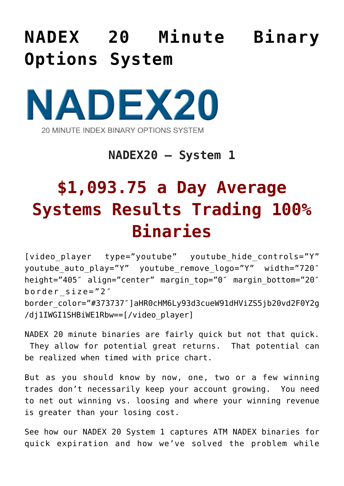## **[NADEX 20 Minute Binary](https://binaryoptionsauthority.com/binary-options-authority/binary-option-systems/nadex-20-minute-binary-options-system/) [Options System](https://binaryoptionsauthority.com/binary-options-authority/binary-option-systems/nadex-20-minute-binary-options-system/)**



## **NADEX20 – System 1**

## **\$1,093.75 a Day Average Systems Results Trading 100% Binaries**

[video\_player type="youtube" youtube\_hide\_controls="Y" youtube\_auto\_play="Y" youtube\_remove\_logo="Y" width="720″ height="405″ align="center" margin\_top="0″ margin\_bottom="20″ border\_size="2″ border\_color="#373737″]aHR0cHM6Ly93d3cueW91dHViZS5jb20vd2F0Y2g /dj1IWGI1SHBiWE1Rbw==[/video\_player]

NADEX 20 minute binaries are fairly quick but not that quick. They allow for potential great returns. That potential can be realized when timed with price chart.

But as you should know by now, one, two or a few winning trades don't necessarily keep your account growing. You need to net out winning vs. loosing and where your winning revenue is greater than your losing cost.

See how our NADEX 20 System 1 captures ATM NADEX binaries for quick expiration and how we've solved the problem while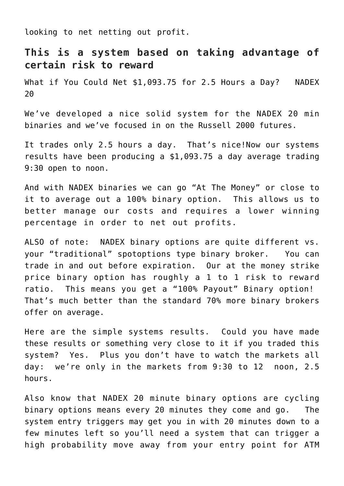looking to net netting out profit.

## **This is a system based on taking advantage of certain risk to reward**

What if You Could Net \$1,093.75 for 2.5 Hours a Day? NADEX 20

We've developed a nice solid system for the NADEX 20 min binaries and we've focused in on the Russell 2000 futures.

It trades only 2.5 hours a day. That's nice!Now our systems results have been producing a \$1,093.75 a day average trading 9:30 open to noon.

And with NADEX binaries we can go "At The Money" or close to it to average out a 100% binary option. This allows us to better manage our costs and requires a lower winning percentage in order to net out profits.

ALSO of note: NADEX binary options are quite different vs. your "traditional" spotoptions type binary broker. You can trade in and out before expiration. Our at the money strike price binary option has roughly a 1 to 1 risk to reward ratio. This means you get a "100% Payout" Binary option! That's much better than the standard 70% more binary brokers offer on average.

Here are the simple systems results. Could you have made these results or something very close to it if you traded this system? Yes. Plus you don't have to watch the markets all day: we're only in the markets from 9:30 to 12 noon, 2.5 hours.

Also know that NADEX 20 minute binary options are cycling binary options means every 20 minutes they come and go. The system entry triggers may get you in with 20 minutes down to a few minutes left so you'll need a system that can trigger a high probability move away from your entry point for ATM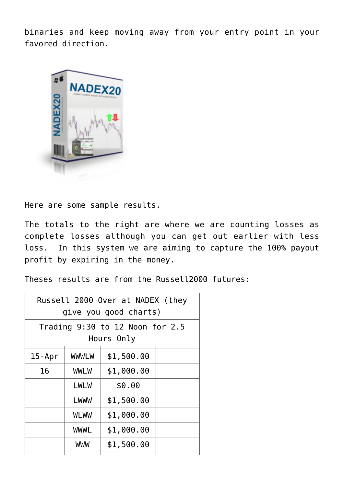binaries and keep moving away from your entry point in your favored direction.



Here are some sample results.

The totals to the right are where we are counting losses as complete losses although you can get out earlier with less loss. In this system we are aiming to capture the 100% payout profit by expiring in the money.

Theses results are from the Russell2000 futures:

| Russell 2000 Over at NADEX (they<br>give you good charts) |              |            |  |  |
|-----------------------------------------------------------|--------------|------------|--|--|
| Trading $9:30$ to 12 Noon for $2.5$<br>Hours Only         |              |            |  |  |
| $15$ -Apr                                                 | <b>WWWLW</b> | \$1,500.00 |  |  |
| 16                                                        | <b>WWLW</b>  | \$1,000.00 |  |  |
|                                                           | LWLW         | \$0.00     |  |  |
|                                                           | <b>LWWW</b>  | \$1,500.00 |  |  |
|                                                           | <b>WLWW</b>  | \$1,000.00 |  |  |
|                                                           | <b>WWWL</b>  | \$1,000.00 |  |  |
|                                                           | <b>WWW</b>   | \$1,500.00 |  |  |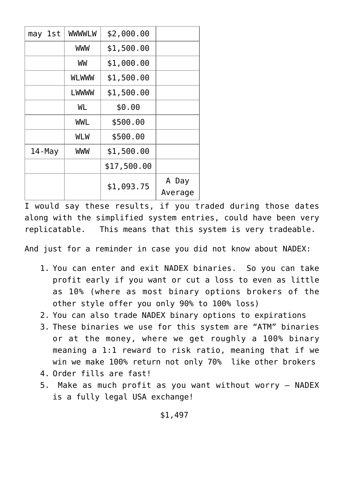| lst<br>may | <b>WWWLW</b> | \$2,000.00  |         |
|------------|--------------|-------------|---------|
|            | WWW          | \$1,500.00  |         |
|            | WW           | \$1,000.00  |         |
|            | <b>WLWWW</b> | \$1,500.00  |         |
|            | LWWWW        | \$1,500.00  |         |
|            | WL           | \$0.00      |         |
|            | WWL          | \$500.00    |         |
|            | WLW          | \$500.00    |         |
| $14$ -May  | WWW          | \$1,500.00  |         |
|            |              | \$17,500.00 |         |
|            |              | \$1,093.75  | A Day   |
|            |              |             | Average |

I would say these results, if you traded during those dates along with the simplified system entries, could have been very replicatable. This means that this system is very tradeable.

And just for a reminder in case you did not know about NADEX:

- 1. You can enter and exit NADEX binaries. So you can take profit early if you want or cut a loss to even as little as 10% (where as most binary options brokers of the other style offer you only 90% to 100% loss)
- 2. You can also trade NADEX binary options to expirations
- 3. These binaries we use for this system are "ATM" binaries or at the money, where we get roughly a 100% binary meaning a 1:1 reward to risk ratio, meaning that if we win we make 100% return not only 70% like other brokers
- 4. Order fills are fast!
- 5. Make as much profit as you want without worry NADEX is a fully legal USA exchange!

\$1,497